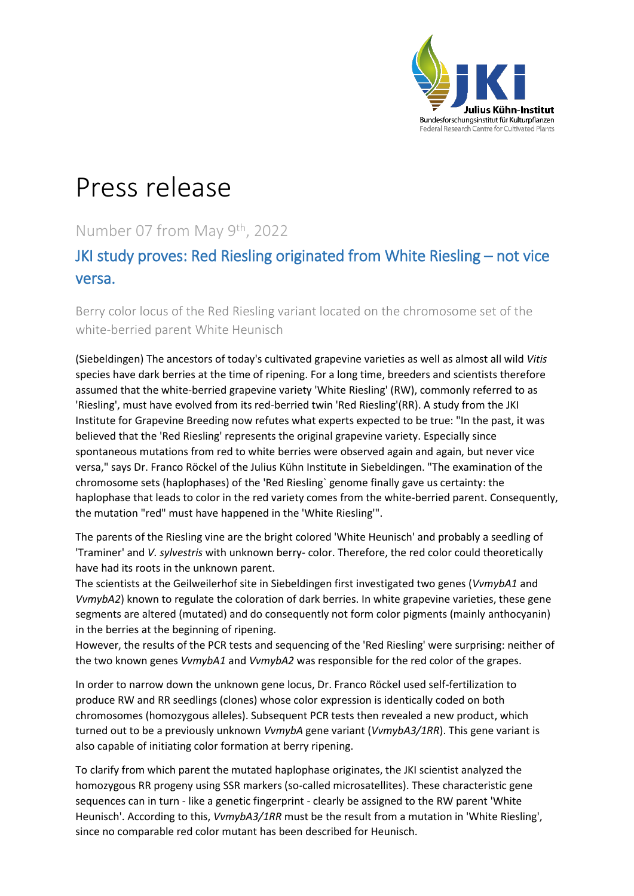

# Press release

# Number 07 from May 9th, 2022

# JKI study proves: Red Riesling originated from White Riesling – not vice versa.

Berry color locus of the Red Riesling variant located on the chromosome set of the white-berried parent White Heunisch

(Siebeldingen) The ancestors of today's cultivated grapevine varieties as well as almost all wild *Vitis* species have dark berries at the time of ripening. For a long time, breeders and scientists therefore assumed that the white-berried grapevine variety 'White Riesling' (RW), commonly referred to as 'Riesling', must have evolved from its red-berried twin 'Red Riesling'(RR). A study from the JKI Institute for Grapevine Breeding now refutes what experts expected to be true: "In the past, it was believed that the 'Red Riesling' represents the original grapevine variety. Especially since spontaneous mutations from red to white berries were observed again and again, but never vice versa," says Dr. Franco Röckel of the Julius Kühn Institute in Siebeldingen. "The examination of the chromosome sets (haplophases) of the 'Red Riesling` genome finally gave us certainty: the haplophase that leads to color in the red variety comes from the white-berried parent. Consequently, the mutation "red" must have happened in the 'White Riesling'".

The parents of the Riesling vine are the bright colored 'White Heunisch' and probably a seedling of 'Traminer' and *V. sylvestris* with unknown berry- color. Therefore, the red color could theoretically have had its roots in the unknown parent.

The scientists at the Geilweilerhof site in Siebeldingen first investigated two genes (*VvmybA1* and *VvmybA2*) known to regulate the coloration of dark berries. In white grapevine varieties, these gene segments are altered (mutated) and do consequently not form color pigments (mainly anthocyanin) in the berries at the beginning of ripening.

However, the results of the PCR tests and sequencing of the 'Red Riesling' were surprising: neither of the two known genes *VvmybA1* and *VvmybA2* was responsible for the red color of the grapes.

In order to narrow down the unknown gene locus, Dr. Franco Röckel used self-fertilization to produce RW and RR seedlings (clones) whose color expression is identically coded on both chromosomes (homozygous alleles). Subsequent PCR tests then revealed a new product, which turned out to be a previously unknown *VvmybA* gene variant (*VvmybA3/1RR*). This gene variant is also capable of initiating color formation at berry ripening.

To clarify from which parent the mutated haplophase originates, the JKI scientist analyzed the homozygous RR progeny using SSR markers (so-called microsatellites). These characteristic gene sequences can in turn - like a genetic fingerprint - clearly be assigned to the RW parent 'White Heunisch'. According to this, *VvmybA3/1RR* must be the result from a mutation in 'White Riesling', since no comparable red color mutant has been described for Heunisch.